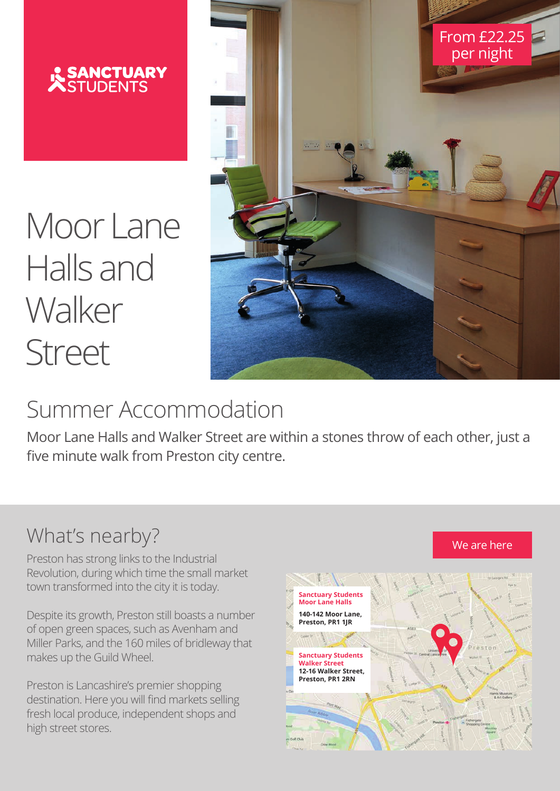

Moor Lane Halls and **Walker** Street



# Summer Accommodation<br>Walker Street

Moor Lane Halls and Walker Street are within a stones throw of each other, just a **0** five minute walk from Preston city centre.<br>**Summer Accommensions** other **just** ther, <mark>J</mark>t

other, just a five minute walk from Preston city centre.

#### What's nearby?

Preston has strong links to the Industrial Revolution, during which time the small market<br>to yn transfermed inte the sit yit is today. town transformed into the city it is today.

Despite its growth, Preston still boasts a number of open green spaces, such as Avenham and Miller Parks, and the 160 miles of bridleway that makes up the Guild Wheel. which time the small market to spaces, such as Avenham and

Preston is Lancashire's premier shopping destination. Here you will find markets selling fresh local produce, independent shops and high street stores.  $\overline{G}$ l Citild M will find markets selling fresh local



We are here